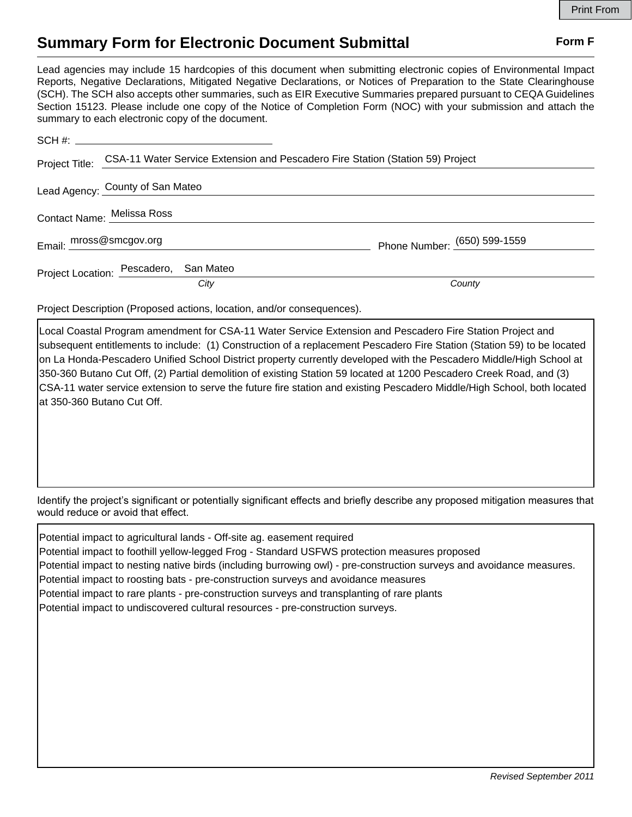## **Summary Form for Electronic Document Submittal Form F Form F**

Lead agencies may include 15 hardcopies of this document when submitting electronic copies of Environmental Impact Reports, Negative Declarations, Mitigated Negative Declarations, or Notices of Preparation to the State Clearinghouse (SCH). The SCH also accepts other summaries, such as EIR Executive Summaries prepared pursuant to CEQA Guidelines Section 15123. Please include one copy of the Notice of Completion Form (NOC) with your submission and attach the summary to each electronic copy of the document.

|                            | Project Title: CSA-11 Water Service Extension and Pescadero Fire Station (Station 59) Project |                              |
|----------------------------|-----------------------------------------------------------------------------------------------|------------------------------|
|                            | Lead Agency: County of San Mateo                                                              |                              |
| Contact Name: Melissa Ross |                                                                                               |                              |
|                            | Email: mross@smcgov.org                                                                       | Phone Number: (650) 599-1559 |
|                            | Project Location: Pescadero, San Mateo                                                        |                              |
|                            | City                                                                                          | County                       |

Project Description (Proposed actions, location, and/or consequences).

Local Coastal Program amendment for CSA-11 Water Service Extension and Pescadero Fire Station Project and subsequent entitlements to include: (1) Construction of a replacement Pescadero Fire Station (Station 59) to be located on La Honda-Pescadero Unified School District property currently developed with the Pescadero Middle/High School at 350-360 Butano Cut Off, (2) Partial demolition of existing Station 59 located at 1200 Pescadero Creek Road, and (3) CSA-11 water service extension to serve the future fire station and existing Pescadero Middle/High School, both located at 350-360 Butano Cut Off.

Identify the project's significant or potentially significant effects and briefly describe any proposed mitigation measures that would reduce or avoid that effect.

| Potential impact to agricultural lands - Off-site ag. easement required                                               |
|-----------------------------------------------------------------------------------------------------------------------|
| Potential impact to foothill yellow-legged Frog - Standard USFWS protection measures proposed                         |
| Potential impact to nesting native birds (including burrowing owl) - pre-construction surveys and avoidance measures. |
| Potential impact to roosting bats - pre-construction surveys and avoidance measures                                   |
| Potential impact to rare plants - pre-construction surveys and transplanting of rare plants                           |
| Potential impact to undiscovered cultural resources - pre-construction surveys.                                       |
|                                                                                                                       |
|                                                                                                                       |